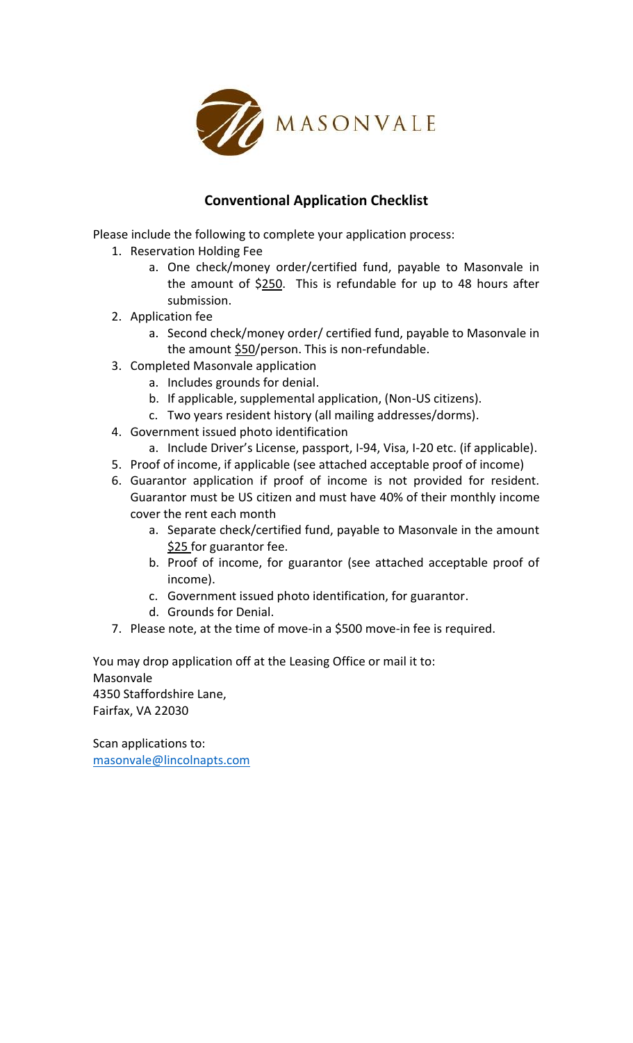

## **Conventional Application Checklist**

Please include the following to complete your application process:

- 1. Reservation Holding Fee
	- a. One check/money order/certified fund, payable to Masonvale in the amount of \$250. This is refundable for up to 48 hours after submission.
- 2. Application fee
	- a. Second check/money order/ certified fund, payable to Masonvale in the amount  $$50/$ person. This is non-refundable.
- 3. Completed Masonvale application
	- a. Includes grounds for denial.
	- b. If applicable, supplemental application, (Non-US citizens).
	- c. Two years resident history (all mailing addresses/dorms).
- 4. Government issued photo identification
	- a. Include Driver's License, passport, I-94, Visa, I-20 etc. (if applicable).
- 5. Proof of income, if applicable (see attached acceptable proof of income)
- 6. Guarantor application if proof of income is not provided for resident. Guarantor must be US citizen and must have 40% of their monthly income cover the rent each month
	- a. Separate check/certified fund, payable to Masonvale in the amount \$25 for guarantor fee.
	- b. Proof of income, for guarantor (see attached acceptable proof of income).
	- c. Government issued photo identification, for guarantor.
	- d. Grounds for Denial.
- 7. Please note, at the time of move-in a \$500 move-in fee is required.

You may drop application off at the Leasing Office or mail it to: Masonvale 4350 Staffordshire Lane, Fairfax, VA 22030

Scan applications to: [masonvale@lincolnapts.com](mailto:masonvale@lincolnapts.com)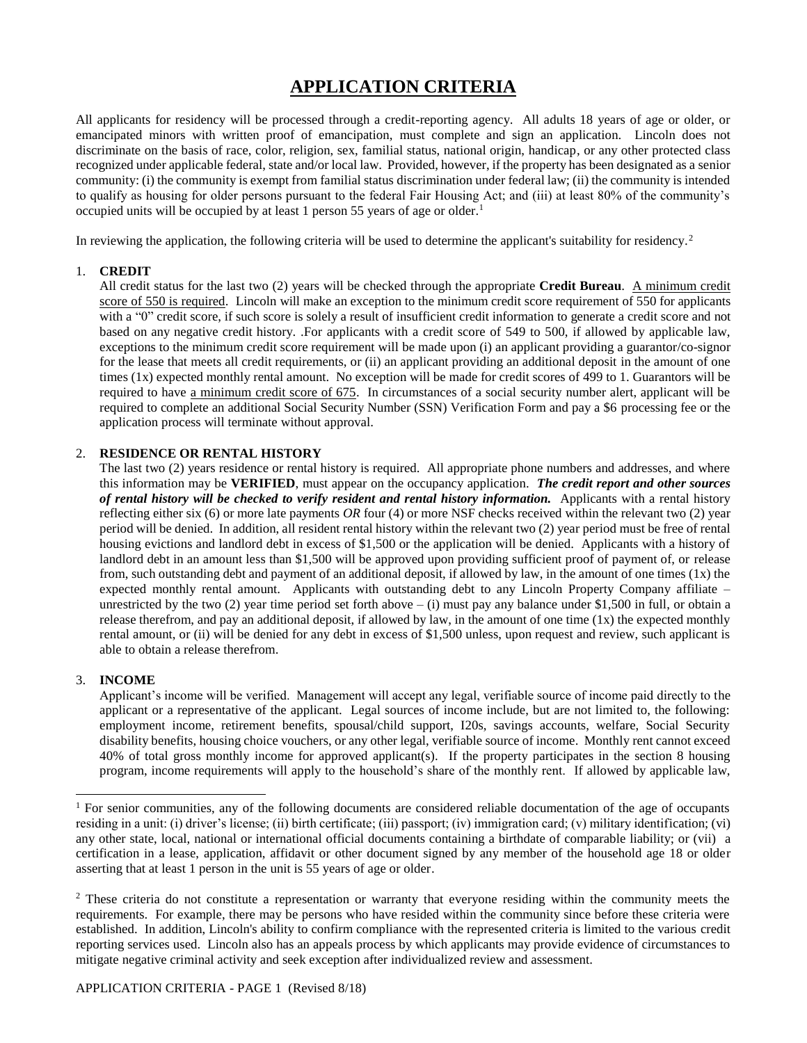### **APPLICATION CRITERIA**

All applicants for residency will be processed through a credit-reporting agency. All adults 18 years of age or older, or emancipated minors with written proof of emancipation, must complete and sign an application. Lincoln does not discriminate on the basis of race, color, religion, sex, familial status, national origin, handicap, or any other protected class recognized under applicable federal, state and/or local law. Provided, however, if the property has been designated as a senior community: (i) the community is exempt from familial status discrimination under federal law; (ii) the community is intended to qualify as housing for older persons pursuant to the federal Fair Housing Act; and (iii) at least 80% of the community's occupied units will be occupied by at least 1 person 55 years of age or older.<sup>1</sup>

In reviewing the application, the following criteria will be used to determine the applicant's suitability for residency.<sup>2</sup>

#### 1. **CREDIT**

All credit status for the last two (2) years will be checked through the appropriate **Credit Bureau**. A minimum credit score of 550 is required. Lincoln will make an exception to the minimum credit score requirement of 550 for applicants with a "0" credit score, if such score is solely a result of insufficient credit information to generate a credit score and not based on any negative credit history. .For applicants with a credit score of 549 to 500, if allowed by applicable law, exceptions to the minimum credit score requirement will be made upon (i) an applicant providing a guarantor/co-signor for the lease that meets all credit requirements, or (ii) an applicant providing an additional deposit in the amount of one times (1x) expected monthly rental amount. No exception will be made for credit scores of 499 to 1. Guarantors will be required to have a minimum credit score of 675. In circumstances of a social security number alert, applicant will be required to complete an additional Social Security Number (SSN) Verification Form and pay a \$6 processing fee or the application process will terminate without approval.

#### 2. **RESIDENCE OR RENTAL HISTORY**

The last two (2) years residence or rental history is required. All appropriate phone numbers and addresses, and where this information may be **VERIFIED**, must appear on the occupancy application. *The credit report and other sources of rental history will be checked to verify resident and rental history information.* Applicants with a rental history reflecting either six (6) or more late payments *OR* four (4) or more NSF checks received within the relevant two (2) year period will be denied. In addition, all resident rental history within the relevant two (2) year period must be free of rental housing evictions and landlord debt in excess of \$1,500 or the application will be denied. Applicants with a history of landlord debt in an amount less than \$1,500 will be approved upon providing sufficient proof of payment of, or release from, such outstanding debt and payment of an additional deposit, if allowed by law, in the amount of one times  $(1x)$  the expected monthly rental amount. Applicants with outstanding debt to any Lincoln Property Company affiliate – unrestricted by the two (2) year time period set forth above  $-$  (i) must pay any balance under \$1,500 in full, or obtain a release therefrom, and pay an additional deposit, if allowed by law, in the amount of one time  $(1x)$  the expected monthly rental amount, or (ii) will be denied for any debt in excess of \$1,500 unless, upon request and review, such applicant is able to obtain a release therefrom.

#### 3. **INCOME**

l

Applicant's income will be verified. Management will accept any legal, verifiable source of income paid directly to the applicant or a representative of the applicant. Legal sources of income include, but are not limited to, the following: employment income, retirement benefits, spousal/child support, I20s, savings accounts, welfare, Social Security disability benefits, housing choice vouchers, or any other legal, verifiable source of income. Monthly rent cannot exceed 40% of total gross monthly income for approved applicant(s). If the property participates in the section 8 housing program, income requirements will apply to the household's share of the monthly rent. If allowed by applicable law,

<sup>&</sup>lt;sup>1</sup> For senior communities, any of the following documents are considered reliable documentation of the age of occupants residing in a unit: (i) driver's license; (ii) birth certificate; (iii) passport; (iv) immigration card; (v) military identification; (vi) any other state, local, national or international official documents containing a birthdate of comparable liability; or (vii) a certification in a lease, application, affidavit or other document signed by any member of the household age 18 or older asserting that at least 1 person in the unit is 55 years of age or older.

<sup>&</sup>lt;sup>2</sup> These criteria do not constitute a representation or warranty that everyone residing within the community meets the requirements. For example, there may be persons who have resided within the community since before these criteria were established. In addition, Lincoln's ability to confirm compliance with the represented criteria is limited to the various credit reporting services used. Lincoln also has an appeals process by which applicants may provide evidence of circumstances to mitigate negative criminal activity and seek exception after individualized review and assessment.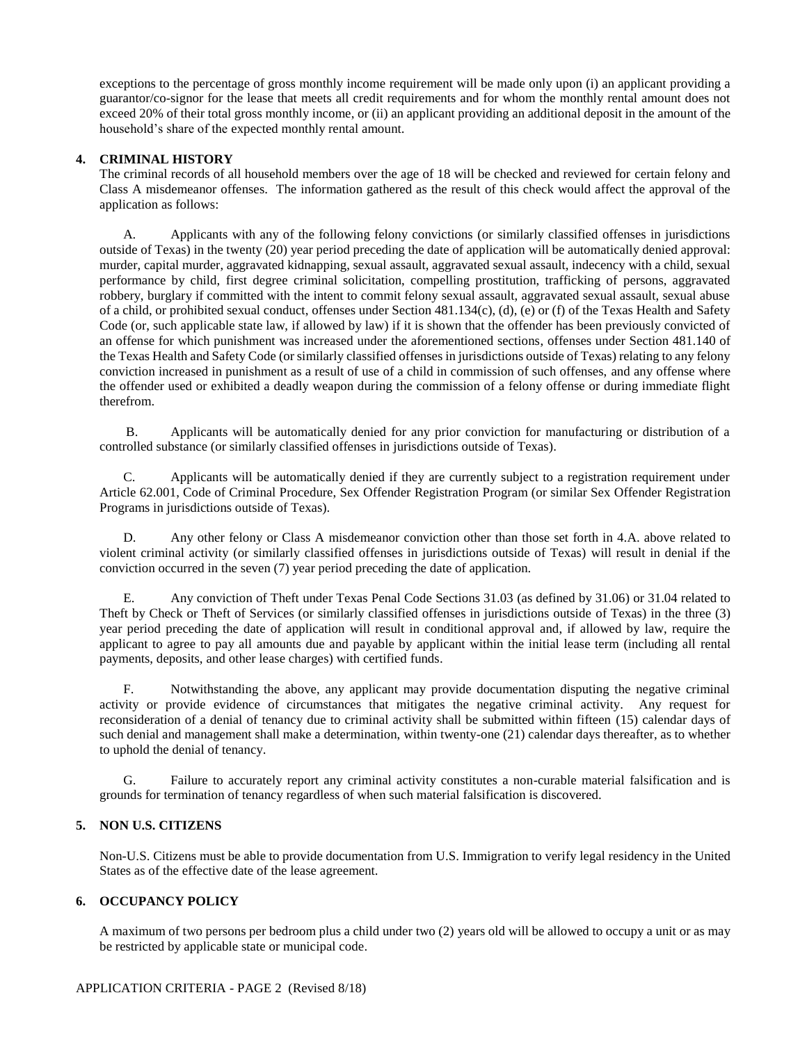exceptions to the percentage of gross monthly income requirement will be made only upon (i) an applicant providing a guarantor/co-signor for the lease that meets all credit requirements and for whom the monthly rental amount does not exceed 20% of their total gross monthly income, or (ii) an applicant providing an additional deposit in the amount of the household's share of the expected monthly rental amount.

#### **4. CRIMINAL HISTORY**

The criminal records of all household members over the age of 18 will be checked and reviewed for certain felony and Class A misdemeanor offenses. The information gathered as the result of this check would affect the approval of the application as follows:

A. Applicants with any of the following felony convictions (or similarly classified offenses in jurisdictions outside of Texas) in the twenty (20) year period preceding the date of application will be automatically denied approval: murder, capital murder, aggravated kidnapping, sexual assault, aggravated sexual assault, indecency with a child, sexual performance by child, first degree criminal solicitation, compelling prostitution, trafficking of persons, aggravated robbery, burglary if committed with the intent to commit felony sexual assault, aggravated sexual assault, sexual abuse of a child, or prohibited sexual conduct, offenses under Section 481.134(c), (d), (e) or (f) of the Texas Health and Safety Code (or, such applicable state law, if allowed by law) if it is shown that the offender has been previously convicted of an offense for which punishment was increased under the aforementioned sections, offenses under Section 481.140 of the Texas Health and Safety Code (or similarly classified offenses in jurisdictions outside of Texas) relating to any felony conviction increased in punishment as a result of use of a child in commission of such offenses, and any offense where the offender used or exhibited a deadly weapon during the commission of a felony offense or during immediate flight therefrom.

 B. Applicants will be automatically denied for any prior conviction for manufacturing or distribution of a controlled substance (or similarly classified offenses in jurisdictions outside of Texas).

C. Applicants will be automatically denied if they are currently subject to a registration requirement under Article 62.001, Code of Criminal Procedure, Sex Offender Registration Program (or similar Sex Offender Registration Programs in jurisdictions outside of Texas).

D. Any other felony or Class A misdemeanor conviction other than those set forth in 4.A. above related to violent criminal activity (or similarly classified offenses in jurisdictions outside of Texas) will result in denial if the conviction occurred in the seven (7) year period preceding the date of application.

E. Any conviction of Theft under Texas Penal Code Sections 31.03 (as defined by 31.06) or 31.04 related to Theft by Check or Theft of Services (or similarly classified offenses in jurisdictions outside of Texas) in the three (3) year period preceding the date of application will result in conditional approval and, if allowed by law, require the applicant to agree to pay all amounts due and payable by applicant within the initial lease term (including all rental payments, deposits, and other lease charges) with certified funds.

F. Notwithstanding the above, any applicant may provide documentation disputing the negative criminal activity or provide evidence of circumstances that mitigates the negative criminal activity. Any request for reconsideration of a denial of tenancy due to criminal activity shall be submitted within fifteen (15) calendar days of such denial and management shall make a determination, within twenty-one (21) calendar days thereafter, as to whether to uphold the denial of tenancy.

G. Failure to accurately report any criminal activity constitutes a non-curable material falsification and is grounds for termination of tenancy regardless of when such material falsification is discovered.

#### **5. NON U.S. CITIZENS**

Non-U.S. Citizens must be able to provide documentation from U.S. Immigration to verify legal residency in the United States as of the effective date of the lease agreement.

#### **6. OCCUPANCY POLICY**

A maximum of two persons per bedroom plus a child under two (2) years old will be allowed to occupy a unit or as may be restricted by applicable state or municipal code.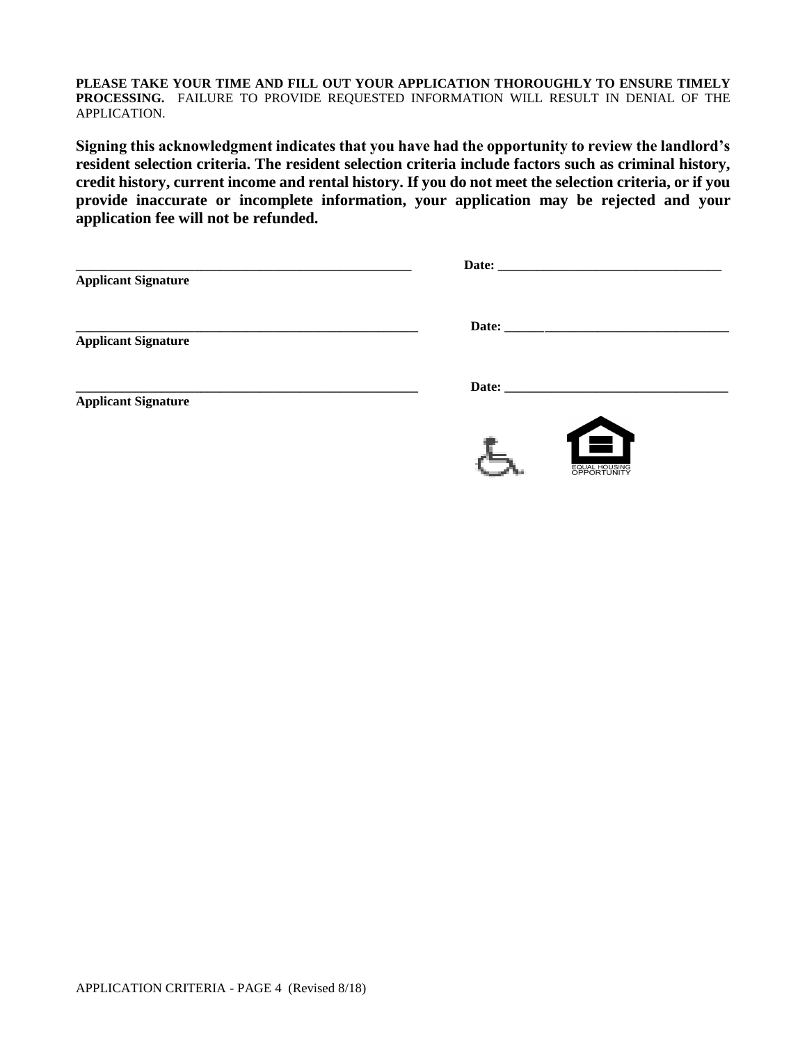**PLEASE TAKE YOUR TIME AND FILL OUT YOUR APPLICATION THOROUGHLY TO ENSURE TIMELY PROCESSING.** FAILURE TO PROVIDE REQUESTED INFORMATION WILL RESULT IN DENIAL OF THE APPLICATION.

**Signing this acknowledgment indicates that you have had the opportunity to review the landlord's resident selection criteria. The resident selection criteria include factors such as criminal history, credit history, current income and rental history. If you do not meet the selection criteria, or if you provide inaccurate or incomplete information, your application may be rejected and your application fee will not be refunded.**

| <b>Applicant Signature</b> | Date: the contract of the contract of the contract of the contract of the contract of the contract of the contract of the contract of the contract of the contract of the contract of the contract of the contract of the cont |
|----------------------------|--------------------------------------------------------------------------------------------------------------------------------------------------------------------------------------------------------------------------------|
| <b>Applicant Signature</b> |                                                                                                                                                                                                                                |
| <b>Applicant Signature</b> |                                                                                                                                                                                                                                |
|                            | $\bigoplus$                                                                                                                                                                                                                    |

EQUAL HOUSING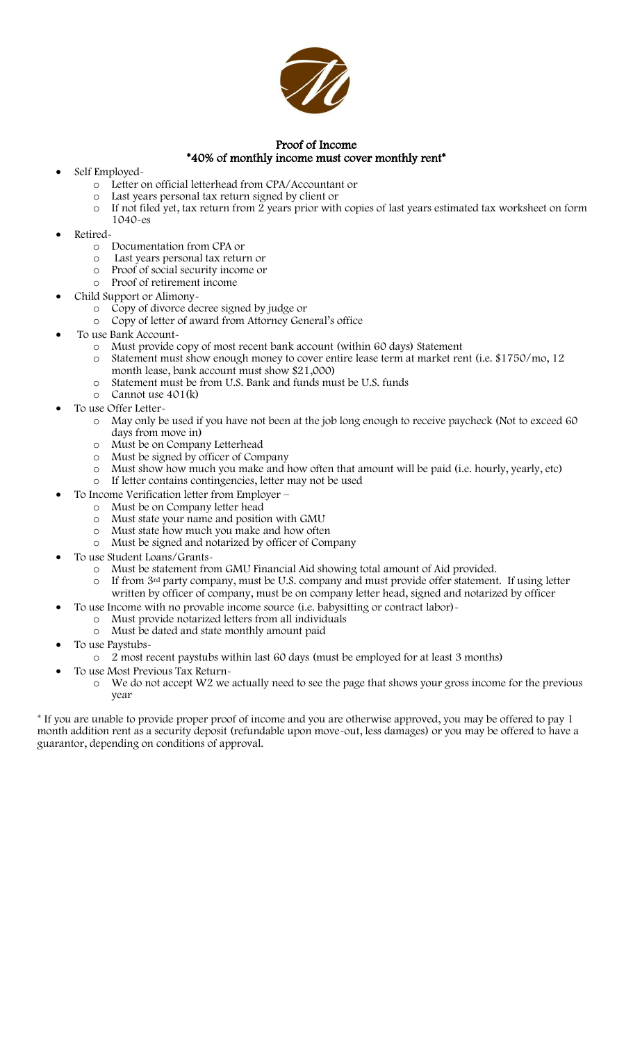

#### Proof of Income \*40% of monthly income must cover monthly rent\*

- Self Employed
	- o Letter on official letterhead from CPA/Accountant or
	- o Last years personal tax return signed by client or
	- o If not filed yet, tax return from 2 years prior with copies of last years estimated tax worksheet on form 1040-es
- Retired
	- o Documentation from CPA or
	- o Last years personal tax return or
	- o Proof of social security income or
	- o Proof of retirement income
- Child Support or Alimony
	- o Copy of divorce decree signed by judge or
	- o Copy of letter of award from Attorney General's office
- To use Bank Account
	- o Must provide copy of most recent bank account (within 60 days) Statement
	- o Statement must show enough money to cover entire lease term at market rent (i.e. \$1750/mo, 12 month lease, bank account must show \$21,000)
	- o Statement must be from U.S. Bank and funds must be U.S. funds
	- o Cannot use 401(k)
- To use Offer Letter
	- o May only be used if you have not been at the job long enough to receive paycheck (Not to exceed 60 days from move in)
	- o Must be on Company Letterhead
	- o Must be signed by officer of Company
	- o Must show how much you make and how often that amount will be paid (i.e. hourly, yearly, etc) o If letter contains contingencies, letter may not be used
- To Income Verification letter from Employer
	- o Must be on Company letter head
	- o Must state your name and position with GMU
	- o Must state how much you make and how often
	- o Must be signed and notarized by officer of Company
- To use Student Loans/Grants-
	- Must be statement from GMU Financial Aid showing total amount of Aid provided.
	- o If from 3rd party company, must be U.S. company and must provide offer statement. If using letter written by officer of company, must be on company letter head, signed and notarized by officer
	- To use Income with no provable income source (i.e. babysitting or contract labor)-
	- o Must provide notarized letters from all individuals
	- o Must be dated and state monthly amount paid
- To use Paystubs
	- o 2 most recent paystubs within last 60 days (must be employed for at least 3 months)
	- To use Most Previous Tax Return
		- o We do not accept W2 we actually need to see the page that shows your gross income for the previous year

\* If you are unable to provide proper proof of income and you are otherwise approved, you may be offered to pay 1 month addition rent as a security deposit (refundable upon move-out, less damages) or you may be offered to have a guarantor, depending on conditions of approval.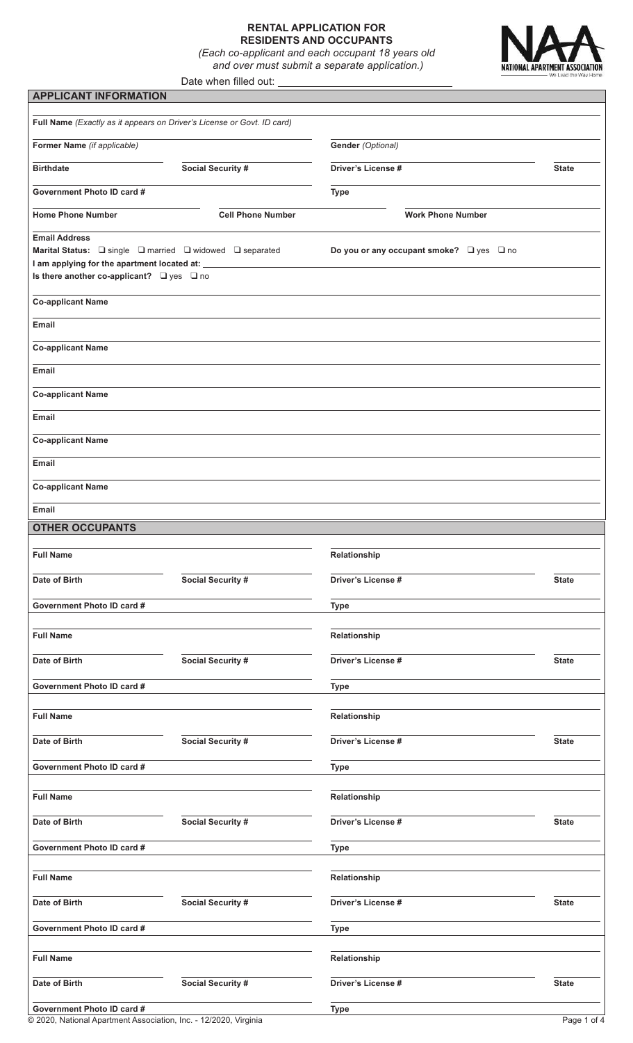#### **RENTAL APPLICATION FOR RESIDENTS AND OCCUPANTS**

*(Each co-applicant and each occupant 18 years old and over must submit a separate application.)*



#### Date when filled out: **APPLICANT INFORMATION**

| Former Name (if applicable)                           |                          | Gender (Optional)                                  |              |  |
|-------------------------------------------------------|--------------------------|----------------------------------------------------|--------------|--|
| <b>Social Security #</b><br><b>Birthdate</b>          |                          | <b>Driver's License #</b>                          | <b>State</b> |  |
| Government Photo ID card #                            |                          | <b>Type</b>                                        |              |  |
| <b>Home Phone Number</b>                              | <b>Cell Phone Number</b> | <b>Work Phone Number</b>                           |              |  |
| <b>Email Address</b>                                  |                          | Do you or any occupant smoke? $\Box$ yes $\Box$ no |              |  |
| I am applying for the apartment located at: _________ |                          |                                                    |              |  |
| Is there another co-applicant? $\Box$ yes $\Box$ no   |                          |                                                    |              |  |
| <b>Co-applicant Name</b>                              |                          |                                                    |              |  |
| Email                                                 |                          |                                                    |              |  |
| <b>Co-applicant Name</b>                              |                          |                                                    |              |  |
| Email                                                 |                          |                                                    |              |  |
| <b>Co-applicant Name</b>                              |                          |                                                    |              |  |
| Email                                                 |                          |                                                    |              |  |
| <b>Co-applicant Name</b>                              |                          |                                                    |              |  |
| Email                                                 |                          |                                                    |              |  |
| <b>Co-applicant Name</b>                              |                          |                                                    |              |  |
| Email                                                 |                          |                                                    |              |  |
| <b>OTHER OCCUPANTS</b>                                |                          |                                                    |              |  |
| <b>Full Name</b>                                      |                          | Relationship                                       |              |  |
| Date of Birth                                         | <b>Social Security #</b> | Driver's License #                                 | <b>State</b> |  |
| Government Photo ID card #                            |                          | <b>Type</b>                                        |              |  |
| <b>Full Name</b>                                      |                          | Relationship                                       |              |  |
| Date of Birth                                         | Social Security #        | Driver's License #                                 | <b>State</b> |  |
|                                                       |                          |                                                    |              |  |
| Government Photo ID card #                            |                          | <b>Type</b>                                        |              |  |
| <b>Full Name</b>                                      |                          | Relationship                                       |              |  |
| Date of Birth                                         | Social Security #        | Driver's License #                                 | <b>State</b> |  |
| Government Photo ID card #                            |                          | <b>Type</b>                                        |              |  |
| <b>Full Name</b>                                      |                          | Relationship                                       |              |  |
| Date of Birth                                         | Social Security #        | Driver's License #                                 | <b>State</b> |  |
| Government Photo ID card #                            |                          |                                                    |              |  |
|                                                       |                          | <b>Type</b>                                        |              |  |
| <b>Full Name</b>                                      |                          | Relationship                                       |              |  |
| Date of Birth                                         | Social Security #        | Driver's License #                                 | <b>State</b> |  |
| Government Photo ID card #                            |                          | <b>Type</b>                                        |              |  |
| <b>Full Name</b>                                      |                          | Relationship                                       |              |  |
|                                                       |                          |                                                    |              |  |
| Date of Birth                                         | Social Security #        | Driver's License #                                 | <b>State</b> |  |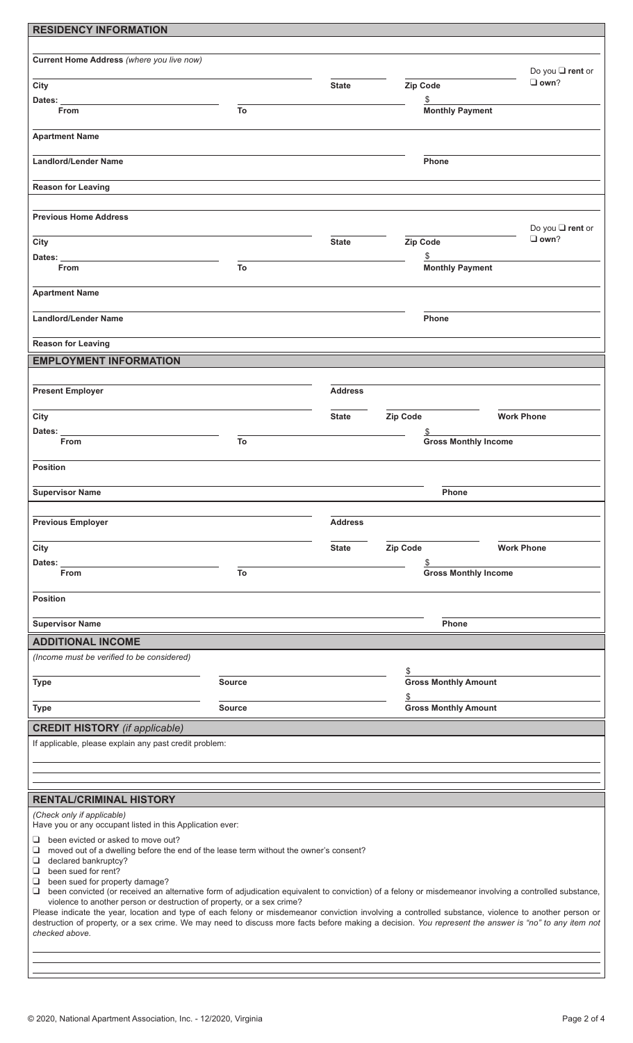| <b>RESIDENCY INFORMATION</b>                                                                                                                                                                                                   |                                                                                       |                |          |                              |                                    |
|--------------------------------------------------------------------------------------------------------------------------------------------------------------------------------------------------------------------------------|---------------------------------------------------------------------------------------|----------------|----------|------------------------------|------------------------------------|
|                                                                                                                                                                                                                                |                                                                                       |                |          |                              |                                    |
| Current Home Address (where you live now)                                                                                                                                                                                      |                                                                                       |                |          |                              |                                    |
|                                                                                                                                                                                                                                |                                                                                       |                |          |                              | Do you □ rent or<br>$\square$ own? |
| City                                                                                                                                                                                                                           |                                                                                       | <b>State</b>   | Zip Code |                              |                                    |
| Dates:<br><b>From</b>                                                                                                                                                                                                          | To                                                                                    |                |          | \$<br><b>Monthly Payment</b> |                                    |
|                                                                                                                                                                                                                                |                                                                                       |                |          |                              |                                    |
| <b>Apartment Name</b>                                                                                                                                                                                                          |                                                                                       |                |          |                              |                                    |
|                                                                                                                                                                                                                                |                                                                                       |                |          |                              |                                    |
| <b>Landlord/Lender Name</b>                                                                                                                                                                                                    |                                                                                       |                |          | Phone                        |                                    |
|                                                                                                                                                                                                                                |                                                                                       |                |          |                              |                                    |
| <b>Reason for Leaving</b>                                                                                                                                                                                                      |                                                                                       |                |          |                              |                                    |
|                                                                                                                                                                                                                                |                                                                                       |                |          |                              |                                    |
| <b>Previous Home Address</b>                                                                                                                                                                                                   |                                                                                       |                |          |                              | Do you <b>□</b> rent or            |
| City                                                                                                                                                                                                                           |                                                                                       | <b>State</b>   | Zip Code |                              | $\Box$ own?                        |
| Dates:                                                                                                                                                                                                                         |                                                                                       |                |          | \$                           |                                    |
| From                                                                                                                                                                                                                           | To                                                                                    |                |          | <b>Monthly Payment</b>       |                                    |
|                                                                                                                                                                                                                                |                                                                                       |                |          |                              |                                    |
| <b>Apartment Name</b>                                                                                                                                                                                                          |                                                                                       |                |          |                              |                                    |
|                                                                                                                                                                                                                                |                                                                                       |                |          |                              |                                    |
| <b>Landlord/Lender Name</b>                                                                                                                                                                                                    |                                                                                       |                |          | Phone                        |                                    |
| <b>Reason for Leaving</b>                                                                                                                                                                                                      |                                                                                       |                |          |                              |                                    |
|                                                                                                                                                                                                                                |                                                                                       |                |          |                              |                                    |
| <b>EMPLOYMENT INFORMATION</b>                                                                                                                                                                                                  |                                                                                       |                |          |                              |                                    |
|                                                                                                                                                                                                                                |                                                                                       |                |          |                              |                                    |
| <b>Present Employer</b>                                                                                                                                                                                                        |                                                                                       | <b>Address</b> |          |                              |                                    |
| City                                                                                                                                                                                                                           |                                                                                       | <b>State</b>   | Zip Code | <b>Work Phone</b>            |                                    |
| Dates:                                                                                                                                                                                                                         |                                                                                       |                |          | S                            |                                    |
| <b>From</b>                                                                                                                                                                                                                    | To                                                                                    |                |          | <b>Gross Monthly Income</b>  |                                    |
|                                                                                                                                                                                                                                |                                                                                       |                |          |                              |                                    |
| <b>Position</b>                                                                                                                                                                                                                |                                                                                       |                |          |                              |                                    |
|                                                                                                                                                                                                                                |                                                                                       |                |          |                              |                                    |
| <b>Supervisor Name</b>                                                                                                                                                                                                         |                                                                                       |                |          | <b>Phone</b>                 |                                    |
|                                                                                                                                                                                                                                |                                                                                       |                |          |                              |                                    |
| <b>Previous Employer</b>                                                                                                                                                                                                       |                                                                                       | <b>Address</b> |          |                              |                                    |
| City                                                                                                                                                                                                                           |                                                                                       | <b>State</b>   | Zip Code | <b>Work Phone</b>            |                                    |
| Dates:                                                                                                                                                                                                                         |                                                                                       |                |          |                              |                                    |
| From                                                                                                                                                                                                                           | To                                                                                    |                |          | <b>Gross Monthly Income</b>  |                                    |
|                                                                                                                                                                                                                                |                                                                                       |                |          |                              |                                    |
| <b>Position</b>                                                                                                                                                                                                                |                                                                                       |                |          |                              |                                    |
|                                                                                                                                                                                                                                |                                                                                       |                |          |                              |                                    |
| <b>Supervisor Name</b>                                                                                                                                                                                                         |                                                                                       |                |          | Phone                        |                                    |
| <b>ADDITIONAL INCOME</b>                                                                                                                                                                                                       |                                                                                       |                |          |                              |                                    |
| (Income must be verified to be considered)                                                                                                                                                                                     |                                                                                       |                |          |                              |                                    |
|                                                                                                                                                                                                                                |                                                                                       |                | \$       | <b>Gross Monthly Amount</b>  |                                    |
| <b>Type</b>                                                                                                                                                                                                                    | <b>Source</b>                                                                         |                |          |                              |                                    |
| <b>Type</b>                                                                                                                                                                                                                    | <b>Source</b>                                                                         |                | \$       | <b>Gross Monthly Amount</b>  |                                    |
|                                                                                                                                                                                                                                |                                                                                       |                |          |                              |                                    |
| <b>CREDIT HISTORY</b> (if applicable)                                                                                                                                                                                          |                                                                                       |                |          |                              |                                    |
| If applicable, please explain any past credit problem:                                                                                                                                                                         |                                                                                       |                |          |                              |                                    |
|                                                                                                                                                                                                                                |                                                                                       |                |          |                              |                                    |
|                                                                                                                                                                                                                                |                                                                                       |                |          |                              |                                    |
|                                                                                                                                                                                                                                |                                                                                       |                |          |                              |                                    |
| <b>RENTAL/CRIMINAL HISTORY</b>                                                                                                                                                                                                 |                                                                                       |                |          |                              |                                    |
| (Check only if applicable)<br>Have you or any occupant listed in this Application ever:                                                                                                                                        |                                                                                       |                |          |                              |                                    |
| □<br>been evicted or asked to move out?                                                                                                                                                                                        |                                                                                       |                |          |                              |                                    |
| ❏                                                                                                                                                                                                                              | moved out of a dwelling before the end of the lease term without the owner's consent? |                |          |                              |                                    |
| $\Box$<br>declared bankruptcy?<br>been sued for rent?<br>❏                                                                                                                                                                     |                                                                                       |                |          |                              |                                    |
| been sued for property damage?<br>❏                                                                                                                                                                                            |                                                                                       |                |          |                              |                                    |
| been convicted (or received an alternative form of adjudication equivalent to conviction) of a felony or misdemeanor involving a controlled substance,<br>❏                                                                    |                                                                                       |                |          |                              |                                    |
| violence to another person or destruction of property, or a sex crime?<br>Please indicate the year, location and type of each felony or misdemeanor conviction involving a controlled substance, violence to another person or |                                                                                       |                |          |                              |                                    |
| destruction of property, or a sex crime. We may need to discuss more facts before making a decision. You represent the answer is "no" to any item not                                                                          |                                                                                       |                |          |                              |                                    |
| checked above.                                                                                                                                                                                                                 |                                                                                       |                |          |                              |                                    |
|                                                                                                                                                                                                                                |                                                                                       |                |          |                              |                                    |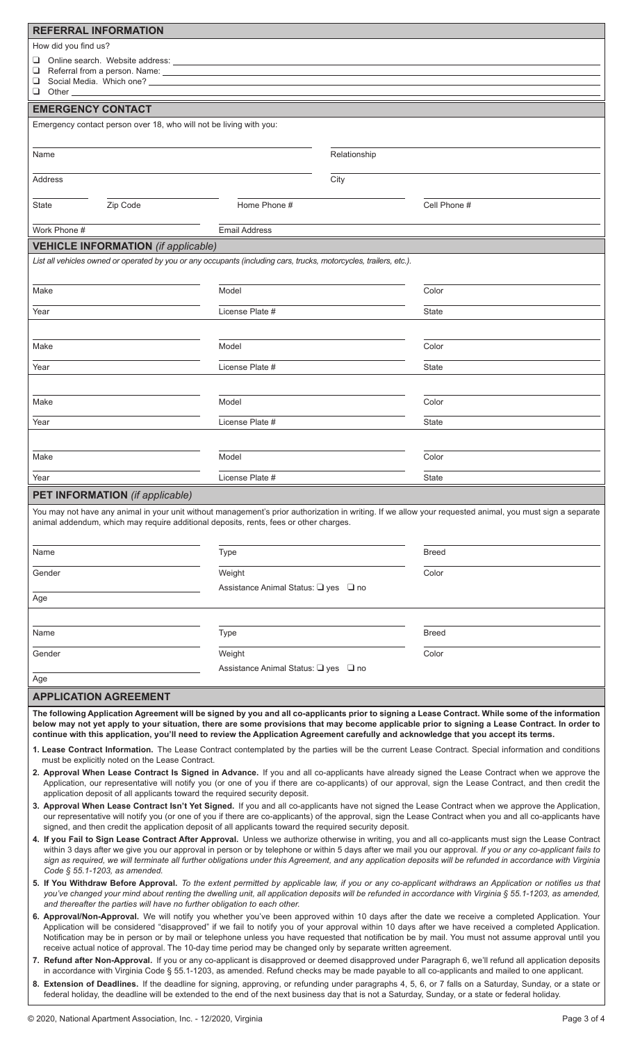| <b>REFERRAL INFORMATION</b>                                                                                                                                                                                                                                                                                                                                                                                                                                                                                                                                                       |                                                |              |                                                                                                                                                                                                                                                                                                    |  |
|-----------------------------------------------------------------------------------------------------------------------------------------------------------------------------------------------------------------------------------------------------------------------------------------------------------------------------------------------------------------------------------------------------------------------------------------------------------------------------------------------------------------------------------------------------------------------------------|------------------------------------------------|--------------|----------------------------------------------------------------------------------------------------------------------------------------------------------------------------------------------------------------------------------------------------------------------------------------------------|--|
| How did you find us?                                                                                                                                                                                                                                                                                                                                                                                                                                                                                                                                                              |                                                |              |                                                                                                                                                                                                                                                                                                    |  |
| u.                                                                                                                                                                                                                                                                                                                                                                                                                                                                                                                                                                                |                                                |              |                                                                                                                                                                                                                                                                                                    |  |
| ❏<br>❏                                                                                                                                                                                                                                                                                                                                                                                                                                                                                                                                                                            |                                                |              |                                                                                                                                                                                                                                                                                                    |  |
| Q.<br>Other                                                                                                                                                                                                                                                                                                                                                                                                                                                                                                                                                                       |                                                |              |                                                                                                                                                                                                                                                                                                    |  |
| <b>EMERGENCY CONTACT</b>                                                                                                                                                                                                                                                                                                                                                                                                                                                                                                                                                          |                                                |              |                                                                                                                                                                                                                                                                                                    |  |
| Emergency contact person over 18, who will not be living with you:                                                                                                                                                                                                                                                                                                                                                                                                                                                                                                                |                                                |              |                                                                                                                                                                                                                                                                                                    |  |
| Name                                                                                                                                                                                                                                                                                                                                                                                                                                                                                                                                                                              |                                                | Relationship |                                                                                                                                                                                                                                                                                                    |  |
| <b>Address</b>                                                                                                                                                                                                                                                                                                                                                                                                                                                                                                                                                                    |                                                | City         |                                                                                                                                                                                                                                                                                                    |  |
| Zip Code<br>State                                                                                                                                                                                                                                                                                                                                                                                                                                                                                                                                                                 | Home Phone #                                   |              | Cell Phone #                                                                                                                                                                                                                                                                                       |  |
| Work Phone #                                                                                                                                                                                                                                                                                                                                                                                                                                                                                                                                                                      | <b>Email Address</b>                           |              |                                                                                                                                                                                                                                                                                                    |  |
| <b>VEHICLE INFORMATION</b> (if applicable)                                                                                                                                                                                                                                                                                                                                                                                                                                                                                                                                        |                                                |              |                                                                                                                                                                                                                                                                                                    |  |
| List all vehicles owned or operated by you or any occupants (including cars, trucks, motorcycles, trailers, etc.).                                                                                                                                                                                                                                                                                                                                                                                                                                                                |                                                |              |                                                                                                                                                                                                                                                                                                    |  |
| Make                                                                                                                                                                                                                                                                                                                                                                                                                                                                                                                                                                              | Model                                          |              | Color                                                                                                                                                                                                                                                                                              |  |
| Year                                                                                                                                                                                                                                                                                                                                                                                                                                                                                                                                                                              | License Plate #                                |              | <b>State</b>                                                                                                                                                                                                                                                                                       |  |
|                                                                                                                                                                                                                                                                                                                                                                                                                                                                                                                                                                                   |                                                |              |                                                                                                                                                                                                                                                                                                    |  |
| Make                                                                                                                                                                                                                                                                                                                                                                                                                                                                                                                                                                              | Model                                          |              | Color                                                                                                                                                                                                                                                                                              |  |
| Year                                                                                                                                                                                                                                                                                                                                                                                                                                                                                                                                                                              | License Plate #                                |              | <b>State</b>                                                                                                                                                                                                                                                                                       |  |
|                                                                                                                                                                                                                                                                                                                                                                                                                                                                                                                                                                                   |                                                |              |                                                                                                                                                                                                                                                                                                    |  |
| Make                                                                                                                                                                                                                                                                                                                                                                                                                                                                                                                                                                              | Model                                          |              | Color                                                                                                                                                                                                                                                                                              |  |
| Year                                                                                                                                                                                                                                                                                                                                                                                                                                                                                                                                                                              | License Plate #                                |              | State                                                                                                                                                                                                                                                                                              |  |
| Make                                                                                                                                                                                                                                                                                                                                                                                                                                                                                                                                                                              | Model                                          |              | Color                                                                                                                                                                                                                                                                                              |  |
| Year                                                                                                                                                                                                                                                                                                                                                                                                                                                                                                                                                                              | License Plate #                                |              | <b>State</b>                                                                                                                                                                                                                                                                                       |  |
| <b>PET INFORMATION</b> (if applicable)                                                                                                                                                                                                                                                                                                                                                                                                                                                                                                                                            |                                                |              |                                                                                                                                                                                                                                                                                                    |  |
| You may not have any animal in your unit without management's prior authorization in writing. If we allow your requested animal, you must sign a separate<br>animal addendum, which may require additional deposits, rents, fees or other charges.                                                                                                                                                                                                                                                                                                                                |                                                |              |                                                                                                                                                                                                                                                                                                    |  |
| Name                                                                                                                                                                                                                                                                                                                                                                                                                                                                                                                                                                              | <b>Type</b>                                    |              | <b>Breed</b>                                                                                                                                                                                                                                                                                       |  |
| Gender                                                                                                                                                                                                                                                                                                                                                                                                                                                                                                                                                                            | Weight<br>Assistance Animal Status: Q yes Q no |              | Color                                                                                                                                                                                                                                                                                              |  |
| Age                                                                                                                                                                                                                                                                                                                                                                                                                                                                                                                                                                               |                                                |              |                                                                                                                                                                                                                                                                                                    |  |
|                                                                                                                                                                                                                                                                                                                                                                                                                                                                                                                                                                                   |                                                |              |                                                                                                                                                                                                                                                                                                    |  |
| Name                                                                                                                                                                                                                                                                                                                                                                                                                                                                                                                                                                              | <b>Type</b>                                    |              | <b>Breed</b>                                                                                                                                                                                                                                                                                       |  |
| Gender                                                                                                                                                                                                                                                                                                                                                                                                                                                                                                                                                                            | Weight                                         |              | Color                                                                                                                                                                                                                                                                                              |  |
| Age                                                                                                                                                                                                                                                                                                                                                                                                                                                                                                                                                                               | Assistance Animal Status: Q yes Q no           |              |                                                                                                                                                                                                                                                                                                    |  |
| <b>APPLICATION AGREEMENT</b>                                                                                                                                                                                                                                                                                                                                                                                                                                                                                                                                                      |                                                |              |                                                                                                                                                                                                                                                                                                    |  |
|                                                                                                                                                                                                                                                                                                                                                                                                                                                                                                                                                                                   |                                                |              |                                                                                                                                                                                                                                                                                                    |  |
| continue with this application, you'll need to review the Application Agreement carefully and acknowledge that you accept its terms.                                                                                                                                                                                                                                                                                                                                                                                                                                              |                                                |              | The following Application Agreement will be signed by you and all co-applicants prior to signing a Lease Contract. While some of the information<br>below may not yet apply to your situation, there are some provisions that may become applicable prior to signing a Lease Contract. In order to |  |
|                                                                                                                                                                                                                                                                                                                                                                                                                                                                                                                                                                                   |                                                |              | 1. Lease Contract Information. The Lease Contract contemplated by the parties will be the current Lease Contract. Special information and conditions                                                                                                                                               |  |
| must be explicitly noted on the Lease Contract.                                                                                                                                                                                                                                                                                                                                                                                                                                                                                                                                   |                                                |              |                                                                                                                                                                                                                                                                                                    |  |
| 2. Approval When Lease Contract Is Signed in Advance. If you and all co-applicants have already signed the Lease Contract when we approve the<br>Application, our representative will notify you (or one of you if there are co-applicants) of our approval, sign the Lease Contract, and then credit the<br>application deposit of all applicants toward the required security deposit.                                                                                                                                                                                          |                                                |              |                                                                                                                                                                                                                                                                                                    |  |
| 3. Approval When Lease Contract Isn't Yet Signed. If you and all co-applicants have not signed the Lease Contract when we approve the Application,                                                                                                                                                                                                                                                                                                                                                                                                                                |                                                |              |                                                                                                                                                                                                                                                                                                    |  |
| our representative will notify you (or one of you if there are co-applicants) of the approval, sign the Lease Contract when you and all co-applicants have<br>signed, and then credit the application deposit of all applicants toward the required security deposit.                                                                                                                                                                                                                                                                                                             |                                                |              |                                                                                                                                                                                                                                                                                                    |  |
| 4. If you Fail to Sign Lease Contract After Approval. Unless we authorize otherwise in writing, you and all co-applicants must sign the Lease Contract<br>within 3 days after we give you our approval in person or by telephone or within 5 days after we mail you our approval. If you or any co-applicant fails to<br>sign as required, we will terminate all further obligations under this Agreement, and any application deposits will be refunded in accordance with Virginia                                                                                              |                                                |              |                                                                                                                                                                                                                                                                                                    |  |
| Code § 55.1-1203, as amended.<br>5. If You Withdraw Before Approval. To the extent permitted by applicable law, if you or any co-applicant withdraws an Application or notifies us that<br>you've changed your mind about renting the dwelling unit, all application deposits will be refunded in accordance with Virginia § 55.1-1203, as amended,<br>and thereafter the parties will have no further obligation to each other.                                                                                                                                                  |                                                |              |                                                                                                                                                                                                                                                                                                    |  |
| 6. Approval/Non-Approval. We will notify you whether you've been approved within 10 days after the date we receive a completed Application. Your<br>Application will be considered "disapproved" if we fail to notify you of your approval within 10 days after we have received a completed Application.<br>Notification may be in person or by mail or telephone unless you have requested that notification be by mail. You must not assume approval until you<br>receive actual notice of approval. The 10-day time period may be changed only by separate written agreement. |                                                |              |                                                                                                                                                                                                                                                                                                    |  |
| 7. Refund after Non-Approval. If you or any co-applicant is disapproved or deemed disapproved under Paragraph 6, we'll refund all application deposits                                                                                                                                                                                                                                                                                                                                                                                                                            |                                                |              |                                                                                                                                                                                                                                                                                                    |  |
| in accordance with Virginia Code § 55.1-1203, as amended. Refund checks may be made payable to all co-applicants and mailed to one applicant.<br>8. Extension of Deadlines. If the deadline for signing, approving, or refunding under paragraphs 4, 5, 6, or 7 falls on a Saturday, Sunday, or a state or                                                                                                                                                                                                                                                                        |                                                |              |                                                                                                                                                                                                                                                                                                    |  |
| federal holiday, the deadline will be extended to the end of the next business day that is not a Saturday, Sunday, or a state or federal holiday.                                                                                                                                                                                                                                                                                                                                                                                                                                 |                                                |              |                                                                                                                                                                                                                                                                                                    |  |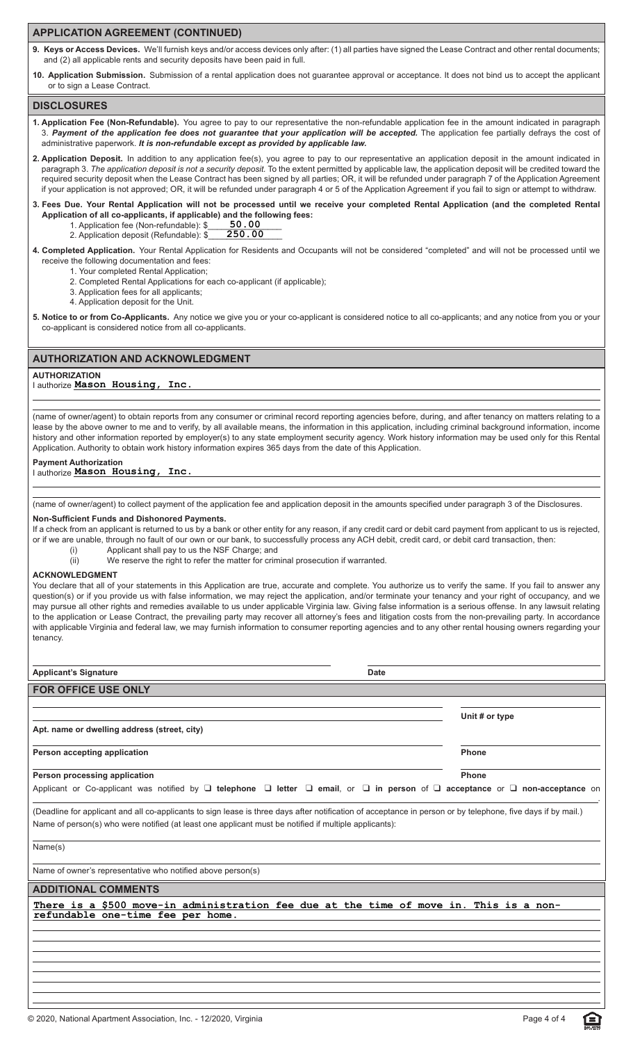#### **APPLICATION AGREEMENT (CONTINUED)**

9. Keys or Access Devices. We'll furnish keys and/or access devices only after: (1) all parties have signed the Lease Contract and other rental documents; and (2) all applicable rents and security deposits have been paid in full.

**10. Application Submission.** Submission of a rental application does not guarantee approval or acceptance. It does not bind us to accept the applicant or to sign a Lease Contract.

#### **DISCLOSURES**

- **1. Application Fee (Non-Refundable).** You agree to pay to our representative the non-refundable application fee in the amount indicated in paragraph 3. *Payment of the application fee does not guarantee that your application will be accepted.* The application fee partially defrays the cost of administrative paperwork. *It is non-refundable except as provided by applicable law.*
- **2. Application Deposit.** In addition to any application fee(s), you agree to pay to our representative an application deposit in the amount indicated in paragraph 3. *The application deposit is not a security deposit.* To the extent permitted by applicable law, the application deposit will be credited toward the required security deposit when the Lease Contract has been signed by all parties; OR, it will be refunded under paragraph 7 of the Application Agreement if your application is not approved; OR, it will be refunded under paragraph 4 or 5 of the Application Agreement if you fail to sign or attempt to withdraw.
- **3. Fees Due. Your Rental Application will not be processed until we receive your completed Rental Application (and the completed Rental Application of all co-applicants, if applicable) and the following fees:**
	- 1. Application fee (Non-refundable): \$\_ 2. Application deposit (Refundable): \$ **50.00 250.00**
- **4. Completed Application.** Your Rental Application for Residents and Occupants will not be considered "completed" and will not be processed until we receive the following documentation and fees:
	- 1. Your completed Rental Application;
	- 2. Completed Rental Applications for each co-applicant (if applicable);
	- 3. Application fees for all applicants;
	- 4. Application deposit for the Unit.

**5. Notice to or from Co-Applicants.** Any notice we give you or your co-applicant is considered notice to all co-applicants; and any notice from you or your co-applicant is considered notice from all co-applicants.

#### **AUTHORIZATION AND ACKNOWLEDGMENT**

#### **AUTHORIZATION**

I authorize **Mason Housing, Inc.**

(name of owner/agent) to obtain reports from any consumer or criminal record reporting agencies before, during, and after tenancy on matters relating to a lease by the above owner to me and to verify, by all available means, the information in this application, including criminal background information, income history and other information reported by employer(s) to any state employment security agency. Work history information may be used only for this Rental Application. Authority to obtain work history information expires 365 days from the date of this Application.

#### **Payment Authorization**

I authorize **Mason Housing, Inc.**

(name of owner/agent) to collect payment of the application fee and application deposit in the amounts specified under paragraph 3 of the Disclosures.

#### **Non-Sufficient Funds and Dishonored Payments.**

If a check from an applicant is returned to us by a bank or other entity for any reason, if any credit card or debit card payment from applicant to us is rejected, or if we are unable, through no fault of our own or our bank, to successfully process any ACH debit, credit card, or debit card transaction, then:

- (i) Applicant shall pay to us the NSF Charge; and
- (ii) We reserve the right to refer the matter for criminal prosecution if warranted.

#### **ACKNOWLEDGMENT**

You declare that all of your statements in this Application are true, accurate and complete. You authorize us to verify the same. If you fail to answer any question(s) or if you provide us with false information, we may reject the application, and/or terminate your tenancy and your right of occupancy, and we may pursue all other rights and remedies available to us under applicable Virginia law. Giving false information is a serious offense. In any lawsuit relating to the application or Lease Contract, the prevailing party may recover all attorney's fees and litigation costs from the non-prevailing party. In accordance with applicable Virginia and federal law, we may furnish information to consumer reporting agencies and to any other rental housing owners regarding your tenancy.

| <b>Date</b>                                                                                                                                                                                                                                                                      |                |  |  |
|----------------------------------------------------------------------------------------------------------------------------------------------------------------------------------------------------------------------------------------------------------------------------------|----------------|--|--|
| <b>Applicant's Signature</b>                                                                                                                                                                                                                                                     |                |  |  |
| <b>FOR OFFICE USE ONLY</b>                                                                                                                                                                                                                                                       |                |  |  |
|                                                                                                                                                                                                                                                                                  |                |  |  |
|                                                                                                                                                                                                                                                                                  | Unit # or type |  |  |
| Apt. name or dwelling address (street, city)                                                                                                                                                                                                                                     |                |  |  |
| Person accepting application                                                                                                                                                                                                                                                     | <b>Phone</b>   |  |  |
| Person processing application                                                                                                                                                                                                                                                    | Phone          |  |  |
| Applicant or Co-applicant was notified by $\Box$ telephone $\Box$ letter $\Box$ email, or $\Box$ in person of $\Box$ acceptance or $\Box$ non-acceptance on                                                                                                                      |                |  |  |
| (Deadline for applicant and all co-applicants to sign lease is three days after notification of acceptance in person or by telephone, five days if by mail.)<br>Name of person(s) who were notified (at least one applicant must be notified if multiple applicants):<br>Name(s) |                |  |  |
| Name of owner's representative who notified above person(s)                                                                                                                                                                                                                      |                |  |  |
| <b>ADDITIONAL COMMENTS</b>                                                                                                                                                                                                                                                       |                |  |  |
| There is a \$500 move-in administration fee due at the time of move in. This is a non-<br>refundable one-time fee per home.                                                                                                                                                      |                |  |  |
|                                                                                                                                                                                                                                                                                  |                |  |  |

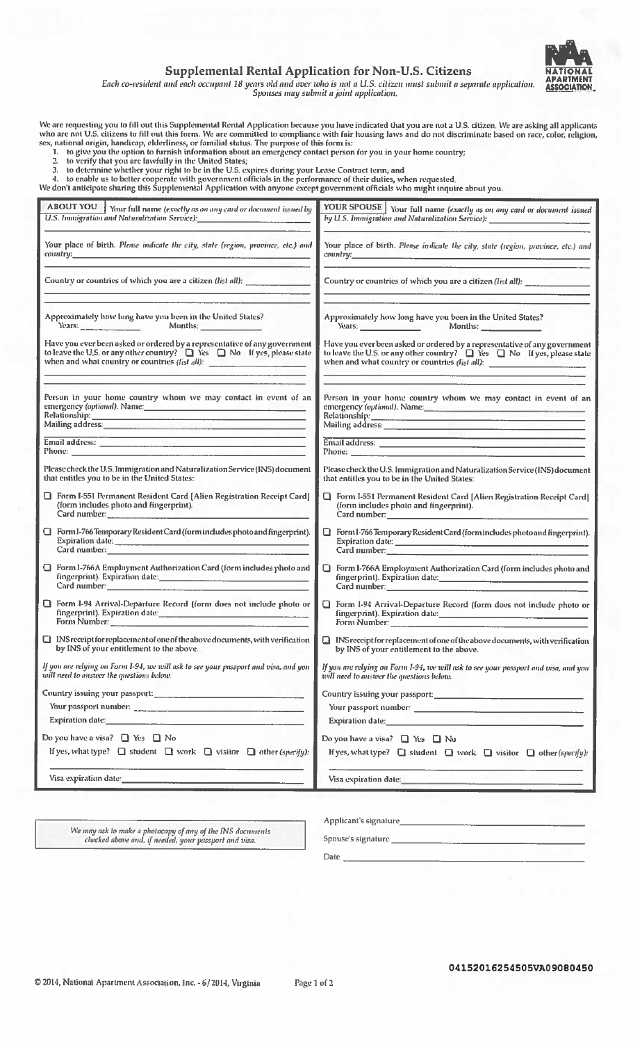

#### **Supplemental Rental Application for Non-U.S. Citizens**

Each co-resident and each occupant 18 years old and over who is not a U.S. citizen must submit a separate application.<br>Spouses may submit a joint application.

We are requesting you to fill out this Supplemental Rental Application because you have indicated that you are not a U.S. citizen. We are asking all applicants<br>who are not U.S. citizens to fill out this form. We are commit

- 
- 
- 
- 

| <b>ABOUT YOU</b> Your full name (exactly as on any card or document issued by                                                                                                                                                  | YOUR SPOUSE \ Your full name (exactly as on any card or document issued                                                                                                                                                              |
|--------------------------------------------------------------------------------------------------------------------------------------------------------------------------------------------------------------------------------|--------------------------------------------------------------------------------------------------------------------------------------------------------------------------------------------------------------------------------------|
| U.S. Immigration and Naturalization Service): Manuscription of the Contract of the U.S. Annual Contract of the                                                                                                                 | by U.S. Immigration and Naturalization Service): ________________________________                                                                                                                                                    |
| Your place of birth. Please indicate the city, state (region, province, etc.) and                                                                                                                                              | Your place of birth. Plense indicate the city, state (region, province, etc.) and                                                                                                                                                    |
| country. The contract of the contract of the contract of the contract of the contract of the contract of the contract of the contract of the contract of the contract of the contract of the contract of the contract of the c | country. The country of the country of the country of the country of the country of the country of the country of the country of the country of the country of the country of the country of the country of the country of the       |
| Country or countries of which you are a citizen (list all):                                                                                                                                                                    | Country or countries of which you are a citizen (list all): _____________________                                                                                                                                                    |
| Approximately how long have you been in the United States?                                                                                                                                                                     | Approximately how long have you been in the United States?                                                                                                                                                                           |
| Years: Months: Months:                                                                                                                                                                                                         | Years: Months:                                                                                                                                                                                                                       |
| Have you ever been asked or ordered by a representative of any government<br>to leave the U.S. or any other country? $\Box$ Yes $\Box$ No If yes, please state<br>when and what country or countries (list all):               | Have you ever been asked or ordered by a representative of any government<br>to leave the U.S. or any other country? $\Box$ Yes $\Box$ No If yes, please state<br>when and what country or countries (list all):                     |
| Person in your home country whom we may contact in event of an                                                                                                                                                                 | Person in your home country whom we may contact in event of an                                                                                                                                                                       |
| emergency (optional). Name: Manuel Manuel Manuel Manuel Manuel Manuel Manuel Manuel Manuel Manuel Manuel Manuel                                                                                                                | emergency (optional). Name:                                                                                                                                                                                                          |
|                                                                                                                                                                                                                                |                                                                                                                                                                                                                                      |
| _______________                                                                                                                                                                                                                | <u> 1989 - Jan Barnett, fransk politik (* 1958)</u>                                                                                                                                                                                  |
|                                                                                                                                                                                                                                | Email address: <u>Andre Barbara and Barbara and Barbara and Barbara and Barbara and Barbara and Barbara and Barbara and Barbara and Barbara and Barbara and Barbara and Barbara and Barbara and Barbara and Barbara and Barbara </u> |
|                                                                                                                                                                                                                                | Phone: <u>All and the company of the company of the company of the company of the company of the company of the company of the company of the company of the company of the company of the company of the company of the company</u> |
| Please check the U.S. Immigration and Naturalization Service (INS) document                                                                                                                                                    | Please check the U.S. Immigration and Naturalization Service (INS) document                                                                                                                                                          |
| that entitles you to be in the United States:                                                                                                                                                                                  | that entitles you to be in the United States:                                                                                                                                                                                        |
| <b>T</b> Form I-551 Permanent Resident Card [Alien Registration Receipt Card]                                                                                                                                                  | $\Box$ Form I-551 Permanent Resident Card [Alien Registration Receipt Card]                                                                                                                                                          |
| (form includes photo and fingerprint).                                                                                                                                                                                         | (form includes photo and fingerprint).                                                                                                                                                                                               |
| Card number: et al. 2010 and 2010 and 2010 and 2010 and 2010 and 2010 and 2010 and 2010 and 2010 and 2010 and                                                                                                                  | Card numbers <b>Card number Card number</b>                                                                                                                                                                                          |
| Form I-766 Temporary Resident Card (form includes photo and fingerprint).                                                                                                                                                      | Form I-766 Temporary Resident Card (form includes photo and fingerprint).                                                                                                                                                            |
|                                                                                                                                                                                                                                | Expiration date:                                                                                                                                                                                                                     |
| Card number:                                                                                                                                                                                                                   | Card number: The Card number                                                                                                                                                                                                         |
| Form I-766A Employment Authorization Card (form includes photo and                                                                                                                                                             | □ Form I-766A Employment Authorization Card (form includes photo and                                                                                                                                                                 |
| fingerprint). Expiration date:                                                                                                                                                                                                 |                                                                                                                                                                                                                                      |
| Card number: 2008 Card number 2008                                                                                                                                                                                             | Card number: 2008 2009 2009 2009 2009 2010 2021 2022 2023 2024 2024 2022 2023 2024 2022 2023 2024 20                                                                                                                                 |
| <b>B</b> Form I-94 Arrival-Departure Record (form does not include photo or                                                                                                                                                    | □ Form I-94 Arrival-Departure Record (form does not include photo or                                                                                                                                                                 |
|                                                                                                                                                                                                                                | fingerprint). Expiration date: <b>All Accords</b> (2012)                                                                                                                                                                             |
| Form Number:                                                                                                                                                                                                                   | Form Number: 2008 - 2008 - 2019 - 2019 - 2019 - 2019 - 2019 - 2019 - 2019 - 2019 - 2019 - 2019 - 2019 - 2019 - 2019 - 2019 - 2019 - 2019 - 2019 - 2019 - 2019 - 2019 - 2019 - 2019 - 2019 - 2019 - 2019 - 2019 - 2019 - 2019 -       |
| $\Box$ INS receipt for replacement of one of the above documents, with verification                                                                                                                                            | $\Box$ INS receipt for replacement of one of the above documents, with verification                                                                                                                                                  |
| by INS of your entitlement to the above.                                                                                                                                                                                       | by INS of your entitlement to the above.                                                                                                                                                                                             |
| If you are relying on Form 1-94, we will ask to see your passport and visa, and you $\begin{bmatrix} 1 \end{bmatrix}$                                                                                                          | If you are relying on Form 1-94, we will ask to see your passport and visa, and you<br>will need to answer the questions below.                                                                                                      |
|                                                                                                                                                                                                                                | Country issuing your passport:<br><u> and the country issuing your passport:</u>                                                                                                                                                     |
| Your passport number:                                                                                                                                                                                                          |                                                                                                                                                                                                                                      |
|                                                                                                                                                                                                                                | Expiration date: <u>Expiration</u> date:                                                                                                                                                                                             |
| Do you have a visa? $\Box$ Yes $\Box$ No                                                                                                                                                                                       | Do you have a visa? $\Box$ Yes $\Box$ No                                                                                                                                                                                             |
| If yes, what type? $\Box$ student $\Box$ work $\Box$ visitor $\Box$ other (specify):                                                                                                                                           | If yes, what type? $\Box$ student $\Box$ work $\Box$ visitor $\Box$ other (specify):                                                                                                                                                 |
| Visa expiration date:                                                                                                                                                                                                          | Visa expiration date:                                                                                                                                                                                                                |
|                                                                                                                                                                                                                                |                                                                                                                                                                                                                                      |

We may ask to make a photocopy of any of the INS documents<br>checked above and, if needed, your passport and visa.

Applicant's signature\_

Spouse's signature

Date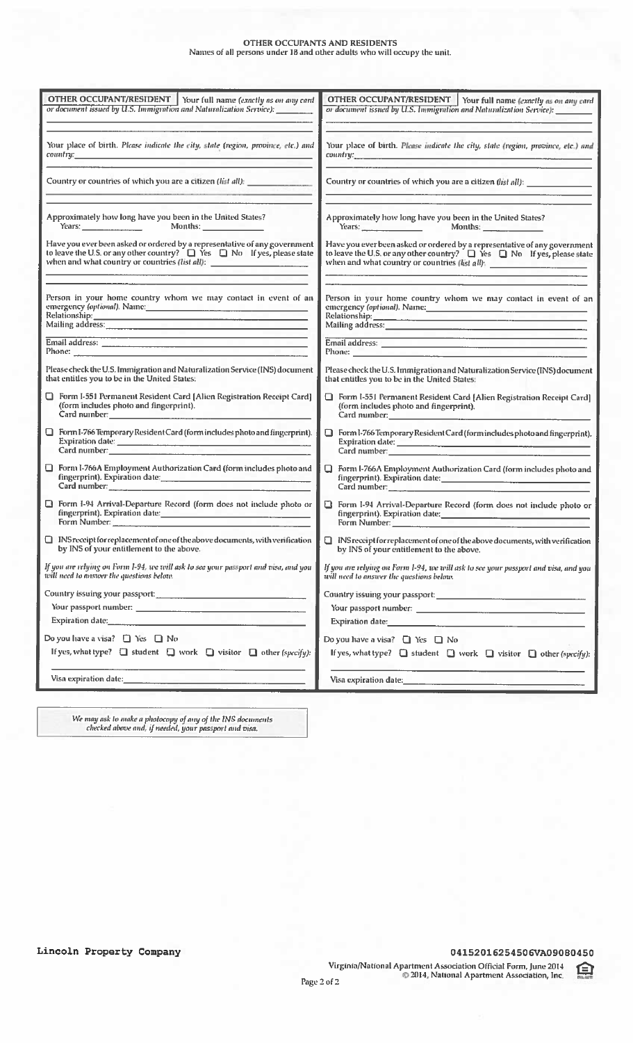# **OTHER OCCUPANTS AND RESIDENTS**<br>Names of all persons under 18 and other adults who will occupy the unit.

| OTHER OCCUPANT/RESIDENT   Your full name (exactly as on any card                                                                                                                                                                                                                                                                                                                                                      | OTHER OCCUPANT/RESIDENT   Your full name (exactly as on any card                                                                                                                                                                                                                                                                                                                                                                                                       |
|-----------------------------------------------------------------------------------------------------------------------------------------------------------------------------------------------------------------------------------------------------------------------------------------------------------------------------------------------------------------------------------------------------------------------|------------------------------------------------------------------------------------------------------------------------------------------------------------------------------------------------------------------------------------------------------------------------------------------------------------------------------------------------------------------------------------------------------------------------------------------------------------------------|
| or document issued by U.S. Immigration and Naturalization Service): _______                                                                                                                                                                                                                                                                                                                                           | or document issued by U.S. Immigration and Naturalization Service): _____                                                                                                                                                                                                                                                                                                                                                                                              |
|                                                                                                                                                                                                                                                                                                                                                                                                                       |                                                                                                                                                                                                                                                                                                                                                                                                                                                                        |
| Your place of birth. Please indicate the city, state (region, province, etc.) and<br>$country.$ . The country of $\mathbb{R}^n$ is the contract of $\mathbb{R}^n$ is the contract of $\mathbb{R}^n$ is the contract of $\mathbb{R}^n$                                                                                                                                                                                 | Your place of birth. Please indicate the city, state (region, province, etc.) and<br>country: and the contract of the contract of the contract of the contract of the contract of the contract of the contract of the contract of the contract of the contract of the contract of the contract of the contract of t                                                                                                                                                    |
| Country or countries of which you are a citizen (list all): _____________________                                                                                                                                                                                                                                                                                                                                     | Country or countries of which you are a citizen (list all): ____________                                                                                                                                                                                                                                                                                                                                                                                               |
| Approximately how long have you been in the United States?<br>Years: Months:                                                                                                                                                                                                                                                                                                                                          | Approximately how long have you been in the United States?<br>Years: Months:                                                                                                                                                                                                                                                                                                                                                                                           |
| Have you ever been asked or ordered by a representative of any government<br>to leave the U.S. or any other country? $\Box$ Yes $\Box$ No If yes, please state                                                                                                                                                                                                                                                        | Have you ever been asked or ordered by a representative of any government<br>to leave the U.S. or any other country? $\Box$ Yes $\Box$ No If yes, please state                                                                                                                                                                                                                                                                                                         |
|                                                                                                                                                                                                                                                                                                                                                                                                                       |                                                                                                                                                                                                                                                                                                                                                                                                                                                                        |
| Person in your home country whom we may contact in event of an<br>emergency (optional). Name: Manual Manual Manual Manual Manual Manual Manual Manual Manual Manual Manual Manua                                                                                                                                                                                                                                      | Person in your home country whom we may contact in event of an<br>emergency (optional). Name:                                                                                                                                                                                                                                                                                                                                                                          |
| Relationship:<br>Mailing address:<br>Mailing address:                                                                                                                                                                                                                                                                                                                                                                 | Relationship:<br>Mailing address:<br>Mailing address:                                                                                                                                                                                                                                                                                                                                                                                                                  |
| Email address: New York Street, New York Street, New York Street, New York Street, New York Street, New York Street, New York Street, New York Street, New York Street, New York Street, New York Street, New York Street, New                                                                                                                                                                                        | <u> La Carlo de Carlo de la Carlo de la Carlo de la Carlo de la Carlo de la Carlo de la Carlo de la Carlo de la C</u>                                                                                                                                                                                                                                                                                                                                                  |
|                                                                                                                                                                                                                                                                                                                                                                                                                       | Email address: New York Change and The Change and The Change and The Change and The Change and The Change and The Change and The Change and The Change and The Change and The Change and The Change and The Change and The Cha<br>Phone: <u>Alexander and Alexander and Alexander and Alexander and Alexander and Alexander and Alexander and Alexander and Alexander and Alexander and Alexander and Alexander and Alexander and Alexander and Alexander and Alex</u> |
| Please check the U.S. Immigration and Naturalization Service (INS) document<br>that entitles you to be in the United States:                                                                                                                                                                                                                                                                                          | Please check the U.S. Immigration and Naturalization Service (INS) document<br>that entitles you to be in the United States:                                                                                                                                                                                                                                                                                                                                           |
| Form I-551 Permanent Resident Card [Alien Registration Receipt Card]<br>(form includes photo and fingerprint).                                                                                                                                                                                                                                                                                                        | Form I-551 Permanent Resident Card [Alien Registration Receipt Card]<br>(form includes photo and fingerprint).<br>Card number: and the contract of the contract of the contract of the contract of the contract of the contract of the contract of the contract of the contract of the contract of the contract of the contract of the contract                                                                                                                        |
| Form I-766 Temporary Resident Card (form includes photo and fingerprint).<br>Card number: The Card number of the Card number of the Card number of the Card number of the Card number of the Card number of the Card number of the Card number of the Card number of the Card number of the Card number of                                                                                                            | Form I-766 Temporary Resident Card (form includes photo and fingerprint).<br>Card number; et al. 2010 and 2010 and 2010 and 2010 and 2010 and 2010 and 2010 and 2010 and 2010 and 2010 and 2010 and 2010 and 2010 and 2010 and 2010 and 2010 and 2010 and 2010 and 2010 and 2010 and 2010 and 2010 and 2010                                                                                                                                                            |
| Form I-766A Employment Authorization Card (form includes photo and<br>fingerprint). Expiration date: Manual Manual Manual Manual Manual Manual Manual Manual Manual Manual Manual Ma<br>Card number: and the contract of the contract of the contract of the contract of the contract of the contract of the contract of the contract of the contract of the contract of the contract of the contract of the contract | Form I-766A Employment Authorization Card (form includes photo and<br>fingerprint). Expiration date: New York Prince and Prince and Prince and Prince and Prince and Prince and Prince and<br>Card number: and the contract of the contract of the contract of the contract of the contract of the contract of the contract of the contract of the contract of the contract of the contract of the contract of the contract                                            |
| $\Box$ Form I-94 Arrival-Departure Record (form does not include photo or<br>fingerprint). Expiration date:<br>Form Number: Electric Contract of the Contract of the Contract of the Contract of the Contract of the Contract of the Contract of the Contract of the Contract of the Contract of the Contract of the Contract of the Contract                                                                         | <b>B</b> Form I-94 Arrival-Departure Record (form does not include photo or<br>fingerprint). Expiration date: <b>All Accession</b>                                                                                                                                                                                                                                                                                                                                     |
| [ INS receipt for replacement of one of the above documents, with verification  <br>by INS of your entitlement to the above.                                                                                                                                                                                                                                                                                          | $\Box$ INS receipt for replacement of one of the above documents, with verification<br>by INS of your entitlement to the above.                                                                                                                                                                                                                                                                                                                                        |
| If you are relying on Form 1-94, we will ask to see your passport and visa, and you<br>will need to mistoer the questions below.                                                                                                                                                                                                                                                                                      | If you are relying on Form 1-94, we will ask to see your passport and visa, and you<br>will need to answer the questions below.                                                                                                                                                                                                                                                                                                                                        |
| Country issuing your passport:                                                                                                                                                                                                                                                                                                                                                                                        |                                                                                                                                                                                                                                                                                                                                                                                                                                                                        |
|                                                                                                                                                                                                                                                                                                                                                                                                                       |                                                                                                                                                                                                                                                                                                                                                                                                                                                                        |
|                                                                                                                                                                                                                                                                                                                                                                                                                       | Expiration date: and the contract of the contract of the contract of the contract of the contract of the contract of the contract of the contract of the contract of the contract of the contract of the contract of the contr                                                                                                                                                                                                                                         |
| Do you have a visa? $\Box$ Yes $\Box$ No                                                                                                                                                                                                                                                                                                                                                                              | Do you have a visa? $\Box$ Yes $\Box$ No                                                                                                                                                                                                                                                                                                                                                                                                                               |
| If yes, what type? $\Box$ student $\Box$ work $\Box$ visitor $\Box$ other (specify):                                                                                                                                                                                                                                                                                                                                  | If yes, what type? $\Box$ student $\Box$ work $\Box$ visitor $\Box$ other (specify):                                                                                                                                                                                                                                                                                                                                                                                   |
|                                                                                                                                                                                                                                                                                                                                                                                                                       |                                                                                                                                                                                                                                                                                                                                                                                                                                                                        |
|                                                                                                                                                                                                                                                                                                                                                                                                                       |                                                                                                                                                                                                                                                                                                                                                                                                                                                                        |
|                                                                                                                                                                                                                                                                                                                                                                                                                       |                                                                                                                                                                                                                                                                                                                                                                                                                                                                        |
|                                                                                                                                                                                                                                                                                                                                                                                                                       |                                                                                                                                                                                                                                                                                                                                                                                                                                                                        |

We may ask to make a photocopy of any of the INS documents<br>checked above and, if needed, your passport and visa.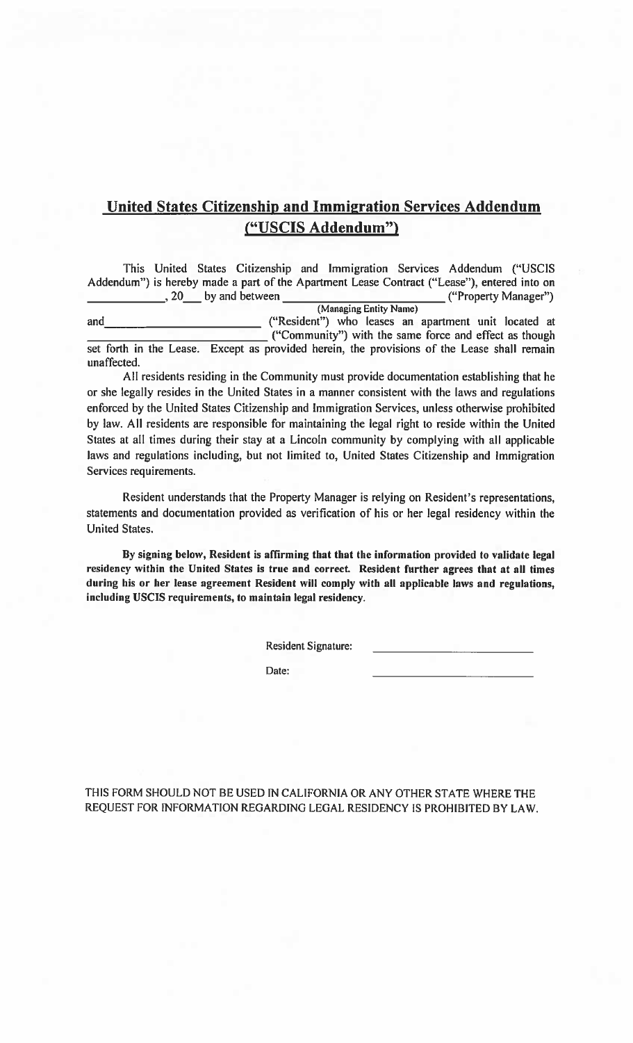## **United States Citizenship and Immigration Services Addendum** ("USCIS Addendum")

This United States Citizenship and Immigration Services Addendum ("USCIS Addendum") is hereby made a part of the Apartment Lease Contract ("Lease"), entered into on  $\frac{1}{20}$ , 20 by and between ("Property Manager") (Managing Entity Name) ("Resident") who leases an apartment unit located at and ("Community") with the same force and effect as though

set forth in the Lease. Except as provided herein, the provisions of the Lease shall remain unaffected.

All residents residing in the Community must provide documentation establishing that he or she legally resides in the United States in a manner consistent with the laws and regulations enforced by the United States Citizenship and Immigration Services, unless otherwise prohibited by law. All residents are responsible for maintaining the legal right to reside within the United States at all times during their stay at a Lincoln community by complying with all applicable laws and regulations including, but not limited to, United States Citizenship and Immigration Services requirements.

Resident understands that the Property Manager is relying on Resident's representations, statements and documentation provided as verification of his or her legal residency within the **United States.** 

By signing below, Resident is affirming that that the information provided to validate legal residency within the United States is true and correct. Resident further agrees that at all times during his or her lease agreement Resident will comply with all applicable laws and regulations, including USCIS requirements, to maintain legal residency.

**Resident Signature:** 

Date:

THIS FORM SHOULD NOT BE USED IN CALIFORNIA OR ANY OTHER STATE WHERE THE REQUEST FOR INFORMATION REGARDING LEGAL RESIDENCY IS PROHIBITED BY LAW.